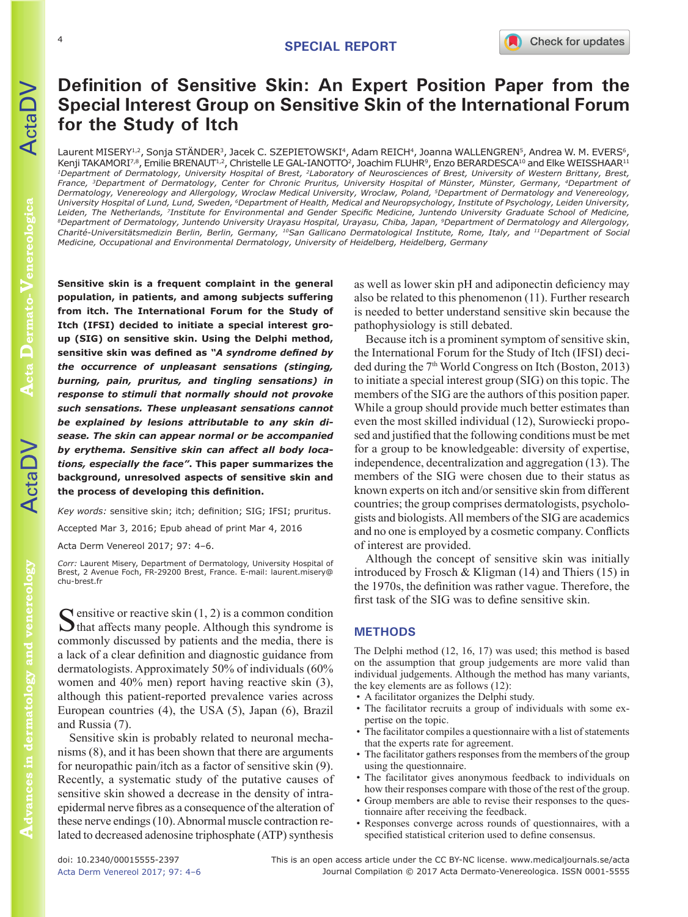# **Definition of Sensitive Skin: An Expert Position Paper from the Special Interest Group on Sensitive Skin of the International Forum for the Study of Itch**

Laurent MISERY<sup>1,2</sup>, Sonja STÄNDER<sup>3</sup>, Jacek C. SZEPIETOWSKI<sup>4</sup>, Adam REICH<sup>4</sup>, Joanna WALLENGREN<sup>5</sup>, Andrea W. M. EVERS<sup>6</sup> Kenji TAKAMORI<sup>7,8</sup>, Emilie BRENAUT<sup>1,2</sup>, Christelle LE GAL-IANOTTO<sup>2</sup>, Joachim FLUHR<sup>9</sup>, Enzo BERARDESCA<sup>10</sup> and Elke WEISSHAAR<sup>11</sup> *1Department of Dermatology, University Hospital of Brest, 2Laboratory of Neurosciences of Brest, University of Western Brittany, Brest,*  France, <sup>3</sup>Department of Dermatology, Center for Chronic Pruritus, University Hospital of Münster, Münster, Germany, <sup>4</sup>Department of *Dermatology, Venereology and Allergology, Wroclaw Medical University, Wroclaw, Poland, 5Department of Dermatology and Venereology, University Hospital of Lund, Lund, Sweden, 6Department of Health, Medical and Neuropsychology, Institute of Psychology, Leiden University, Leiden, The Netherlands, 7Institute for Environmental and Gender Specific Medicine, Juntendo University Graduate School of Medicine, <sup>8</sup>Department of Dermatology, Juntendo University Urayasu Hospital, Urayasu, Chiba, Japan, 9Department of Dermatology and Allergology, Charité-Universitätsmedizin Berlin, Berlin, Germany, 10San Gallicano Dermatological Institute, Rome, Italy, and 11Department of Social Medicine, Occupational and Environmental Dermatology, University of Heidelberg, Heidelberg, Germany*

**Sensitive skin is a frequent complaint in the general population, in patients, and among subjects suffering from itch. The International Forum for the Study of Itch (IFSI) decided to initiate a special interest group (SIG) on sensitive skin. Using the Delphi method, sensitive skin was defined as** *"A syndrome defined by the occurrence of unpleasant sensations (stinging, burning, pain, pruritus, and tingling sensations) in response to stimuli that normally should not provoke such sensations. These unpleasant sensations cannot be explained by lesions attributable to any skin disease. The skin can appear normal or be accompanied by erythema. Sensitive skin can affect all body locations, especially the face"***. This paper summarizes the background, unresolved aspects of sensitive skin and the process of developing this definition.**

*Key words:* sensitive skin; itch; definition; SIG; IFSI; pruritus.

Accepted Mar 3, 2016; Epub ahead of print Mar 4, 2016

Acta Derm Venereol 2017; 97: 4–6.

*Corr:* Laurent Misery, Department of Dermatology, University Hospital of Brest, 2 Avenue Foch, FR-29200 Brest, France. E-mail: laurent.misery@ chu-brest.fr

Sensitive or reactive skin  $(1, 2)$  is a common condition that affects many people. Although this syndrome is commonly discussed by patients and the media, there is a lack of a clear definition and diagnostic guidance from dermatologists. Approximately 50% of individuals (60% women and 40% men) report having reactive skin (3), although this patient-reported prevalence varies across European countries (4), the USA (5), Japan (6), Brazil and Russia (7).

Sensitive skin is probably related to neuronal mechanisms (8), and it has been shown that there are arguments for neuropathic pain/itch as a factor of sensitive skin (9). Recently, a systematic study of the putative causes of sensitive skin showed a decrease in the density of intraepidermal nerve fibres as a consequence of the alteration of these nerve endings (10). Abnormal muscle contraction related to decreased adenosine triphosphate (ATP) synthesis

as well as lower skin pH and adiponectin deficiency may also be related to this phenomenon (11). Further research is needed to better understand sensitive skin because the pathophysiology is still debated.

Because itch is a prominent symptom of sensitive skin, the International Forum for the Study of Itch (IFSI) decided during the 7th World Congress on Itch (Boston, 2013) to initiate a special interest group (SIG) on this topic. The members of the SIG are the authors of this position paper. While a group should provide much better estimates than even the most skilled individual (12), Surowiecki proposed and justified that the following conditions must be met for a group to be knowledgeable: diversity of expertise, independence, decentralization and aggregation (13). The members of the SIG were chosen due to their status as known experts on itch and/or sensitive skin from different countries; the group comprises dermatologists, psychologists and biologists. All members of the SIG are academics and no one is employed by a cosmetic company. Conflicts of interest are provided.

Although the concept of sensitive skin was initially introduced by Frosch & Kligman (14) and Thiers (15) in the 1970s, the definition was rather vague. Therefore, the first task of the SIG was to define sensitive skin.

### **METHODS**

The Delphi method (12, 16, 17) was used; this method is based on the assumption that group judgements are more valid than individual judgements. Although the method has many variants, the key elements are as follows (12):

• A facilitator organizes the Delphi study.

- The facilitator recruits a group of individuals with some expertise on the topic.
- The facilitator compiles a questionnaire with a list of statements that the experts rate for agreement.
- The facilitator gathers responses from the members of the group using the questionnaire.
- The facilitator gives anonymous feedback to individuals on how their responses compare with those of the rest of the group.
- Group members are able to revise their responses to the questionnaire after receiving the feedback.
- Responses converge across rounds of questionnaires, with a specified statistical criterion used to define consensus.

ActaDV

doi: 10.2340/00015555-2397 Acta Derm Venereol 2017; 97: 4–6

Journal Compilation © 2017 Acta Dermato-Venereologica. ISSN 0001-5555 This is an open access article under the CC BY-NC license. www.medicaljournals.se/acta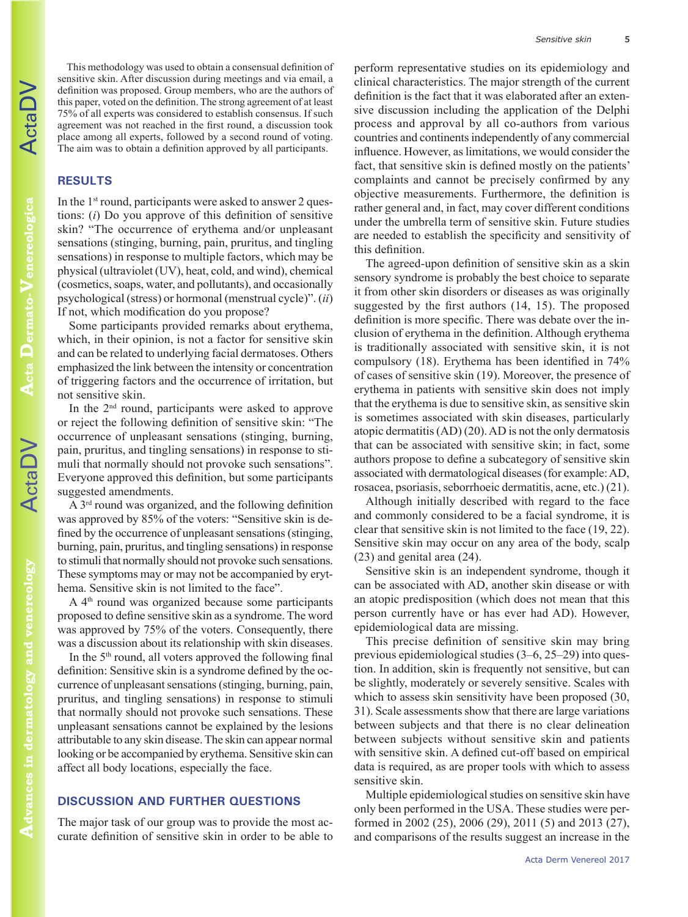This methodology was used to obtain a consensual definition of sensitive skin. After discussion during meetings and via email, a definition was proposed. Group members, who are the authors of this paper, voted on the definition. The strong agreement of at least 75% of all experts was considered to establish consensus. If such agreement was not reached in the first round, a discussion took place among all experts, followed by a second round of voting. The aim was to obtain a definition approved by all participants.

## **RESULTS**

In the  $1<sup>st</sup>$  round, participants were asked to answer 2 questions: (*i*) Do you approve of this definition of sensitive skin? "The occurrence of erythema and/or unpleasant sensations (stinging, burning, pain, pruritus, and tingling sensations) in response to multiple factors, which may be physical (ultraviolet (UV), heat, cold, and wind), chemical (cosmetics, soaps, water, and pollutants), and occasionally psychological (stress) or hormonal (menstrual cycle)". (*ii*) If not, which modification do you propose?

Some participants provided remarks about erythema, which, in their opinion, is not a factor for sensitive skin and can be related to underlying facial dermatoses. Others emphasized the link between the intensity or concentration of triggering factors and the occurrence of irritation, but not sensitive skin.

In the 2nd round, participants were asked to approve or reject the following definition of sensitive skin: "The occurrence of unpleasant sensations (stinging, burning, pain, pruritus, and tingling sensations) in response to stimuli that normally should not provoke such sensations". Everyone approved this definition, but some participants suggested amendments.

A 3rd round was organized, and the following definition was approved by 85% of the voters: "Sensitive skin is defined by the occurrence of unpleasant sensations (stinging, burning, pain, pruritus, and tingling sensations) in response to stimuli that normally should not provoke such sensations. These symptoms may or may not be accompanied by erythema. Sensitive skin is not limited to the face".

A 4th round was organized because some participants proposed to define sensitive skin as a syndrome. The word was approved by 75% of the voters. Consequently, there was a discussion about its relationship with skin diseases.

In the  $5<sup>th</sup>$  round, all voters approved the following final definition: Sensitive skin is a syndrome defined by the occurrence of unpleasant sensations (stinging, burning, pain, pruritus, and tingling sensations) in response to stimuli that normally should not provoke such sensations. These unpleasant sensations cannot be explained by the lesions attributable to any skin disease. The skin can appear normal looking or be accompanied by erythema. Sensitive skin can affect all body locations, especially the face.

### **DISCUSSION AND FURTHER QUESTIONS**

The major task of our group was to provide the most accurate definition of sensitive skin in order to be able to

perform representative studies on its epidemiology and clinical characteristics. The major strength of the current definition is the fact that it was elaborated after an extensive discussion including the application of the Delphi process and approval by all co-authors from various countries and continents independently of any commercial influence. However, as limitations, we would consider the fact, that sensitive skin is defined mostly on the patients' complaints and cannot be precisely confirmed by any objective measurements. Furthermore, the definition is rather general and, in fact, may cover different conditions under the umbrella term of sensitive skin. Future studies are needed to establish the specificity and sensitivity of this definition.

The agreed-upon definition of sensitive skin as a skin sensory syndrome is probably the best choice to separate it from other skin disorders or diseases as was originally suggested by the first authors (14, 15). The proposed definition is more specific. There was debate over the inclusion of erythema in the definition. Although erythema is traditionally associated with sensitive skin, it is not compulsory (18). Erythema has been identified in 74% of cases of sensitive skin (19). Moreover, the presence of erythema in patients with sensitive skin does not imply that the erythema is due to sensitive skin, as sensitive skin is sometimes associated with skin diseases, particularly atopic dermatitis (AD) (20). AD is not the only dermatosis that can be associated with sensitive skin; in fact, some authors propose to define a subcategory of sensitive skin associated with dermatological diseases (for example: AD, rosacea, psoriasis, seborrhoeic dermatitis, acne, etc.) (21).

Although initially described with regard to the face and commonly considered to be a facial syndrome, it is clear that sensitive skin is not limited to the face (19, 22). Sensitive skin may occur on any area of the body, scalp (23) and genital area (24).

Sensitive skin is an independent syndrome, though it can be associated with AD, another skin disease or with an atopic predisposition (which does not mean that this person currently have or has ever had AD). However, epidemiological data are missing.

This precise definition of sensitive skin may bring previous epidemiological studies (3–6, 25–29) into question. In addition, skin is frequently not sensitive, but can be slightly, moderately or severely sensitive. Scales with which to assess skin sensitivity have been proposed (30, 31). Scale assessments show that there are large variations between subjects and that there is no clear delineation between subjects without sensitive skin and patients with sensitive skin. A defined cut-off based on empirical data is required, as are proper tools with which to assess sensitive skin.

Multiple epidemiological studies on sensitive skin have only been performed in the USA. These studies were performed in 2002 (25), 2006 (29), 2011 (5) and 2013 (27), and comparisons of the results suggest an increase in the

**Dermato-**

**Venereologica**